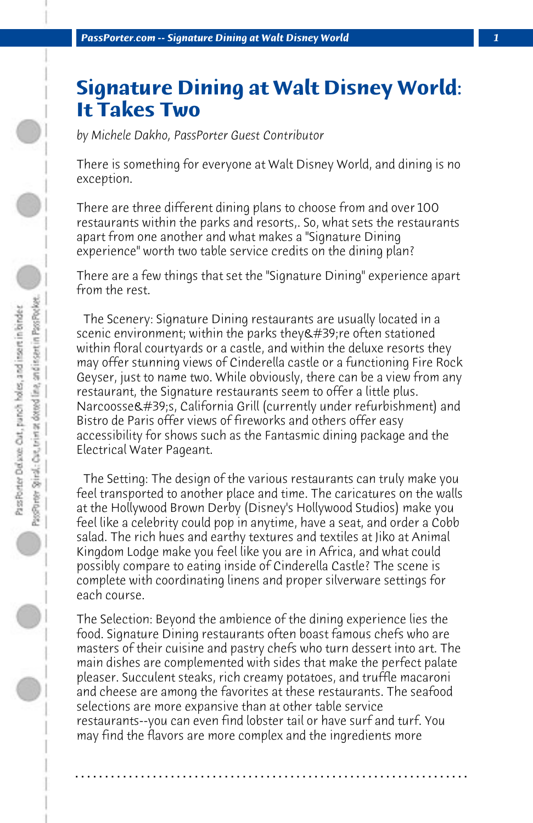## **Signature Dining at Walt Disney World: It Takes Two**

*by Michele Dakho, PassPorter Guest Contributor*

There is something for everyone at Walt Disney World, and dining is no exception.

There are three different dining plans to choose from and over 100 restaurants within the parks and resorts,. So, what sets the restaurants apart from one another and what makes a "Signature Dining experience" worth two table service credits on the dining plan?

There are a few things that set the "Signature Dining" experience apart from the rest.

 The Scenery: Signature Dining restaurants are usually located in a scenic environment; within the parks they & #39; re often stationed within floral courtyards or a castle, and within the deluxe resorts they may offer stunning views of Cinderella castle or a functioning Fire Rock Geyser, just to name two. While obviously, there can be a view from any restaurant, the Signature restaurants seem to offer a little plus. Narcoosse's, California Grill (currently under refurbishment) and Bistro de Paris offer views of fireworks and others offer easy accessibility for shows such as the Fantasmic dining package and the Electrical Water Pageant.

 The Setting: The design of the various restaurants can truly make you feel transported to another place and time. The caricatures on the walls at the Hollywood Brown Derby (Disney's Hollywood Studios) make you feel like a celebrity could pop in anytime, have a seat, and order a Cobb salad. The rich hues and earthy textures and textiles at Jiko at Animal Kingdom Lodge make you feel like you are in Africa, and what could possibly compare to eating inside of Cinderella Castle? The scene is complete with coordinating linens and proper silverware settings for each course.

The Selection: Beyond the ambience of the dining experience lies the food. Signature Dining restaurants often boast famous chefs who are masters of their cuisine and pastry chefs who turn dessert into art. The main dishes are complemented with sides that make the perfect palate pleaser. Succulent steaks, rich creamy potatoes, and truffle macaroni and cheese are among the favorites at these restaurants. The seafood selections are more expansive than at other table service restaurants--you can even find lobster tail or have surf and turf. You may find the flavors are more complex and the ingredients more

**. . . . . . . . . . . . . . . . . . . . . . . . . . . . . . . . . . . . . . . . . . . . . . . . . . . . . . . . . . . . . . . . . .**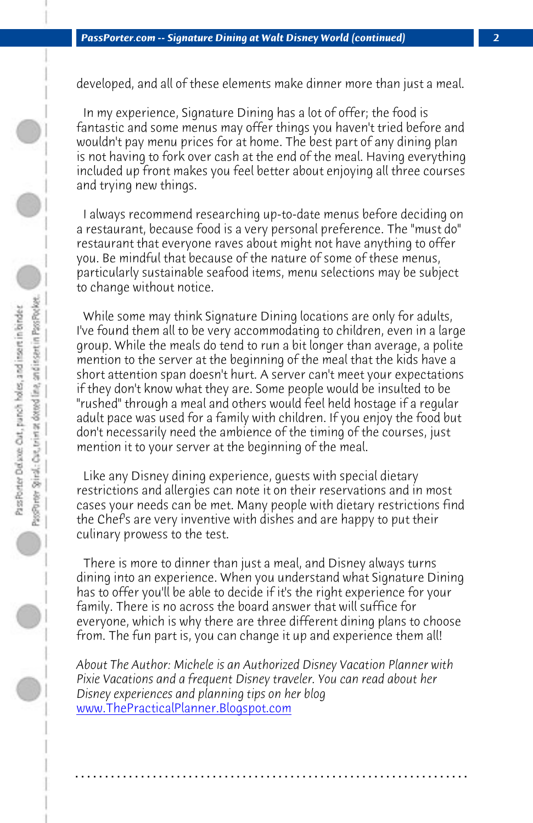## *PassPorter.com -- Signature Dining at Walt Disney World (continued) 2*

 $\bigcirc$ 

developed, and all of these elements make dinner more than just a meal.

 In my experience, Signature Dining has a lot of offer; the food is fantastic and some menus may offer things you haven't tried before and wouldn't pay menu prices for at home. The best part of any dining plan is not having to fork over cash at the end of the meal. Having everything included up front makes you feel better about enjoying all three courses and trying new things.

 I always recommend researching up-to-date menus before deciding on a restaurant, because food is a very personal preference. The "must do" restaurant that everyone raves about might not have anything to offer you. Be mindful that because of the nature of some of these menus, particularly sustainable seafood items, menu selections may be subject to change without notice.

 While some may think Signature Dining locations are only for adults, I've found them all to be very accommodating to children, even in a large group. While the meals do tend to run a bit longer than average, a polite mention to the server at the beginning of the meal that the kids have a short attention span doesn't hurt. A server can't meet your expectations if they don't know what they are. Some people would be insulted to be "rushed" through a meal and others would feel held hostage if a regular adult pace was used for a family with children. If you enjoy the food but don't necessarily need the ambience of the timing of the courses, just mention it to your server at the beginning of the meal.

 [Like any Disney dining experience, gue](http://www.thepracticalplanner.blogspot.com/)sts with special dietary restrictions and allergies can note it on their reservations and in most cases your needs can be met. Many people with dietary restrictions find the Chef's are very inventive with dishes and are happy to put their culinary prowess to the test.

 There is more to dinner than just a meal, and Disney always turns dining into an experience. When you understand what Signature Dining has to offer you'll be able to decide if it's the right experience for your family. There is no across the board answer that will suffice for everyone, which is why there are three different dining plans to choose from. The fun part is, you can change it up and experience them all!

*About The Author: Michele is an Authorized Disney Vacation Planner with Pixie Vacations and a frequent Disney traveler. You can read about her Disney experiences and planning tips on her blog*  www.ThePracticalPlanner.Blogspot.com

**. . . . . . . . . . . . . . . . . . . . . . . . . . . . . . . . . . . . . . . . . . . . . . . . . . . . . . . . . . . . . . . . . .**